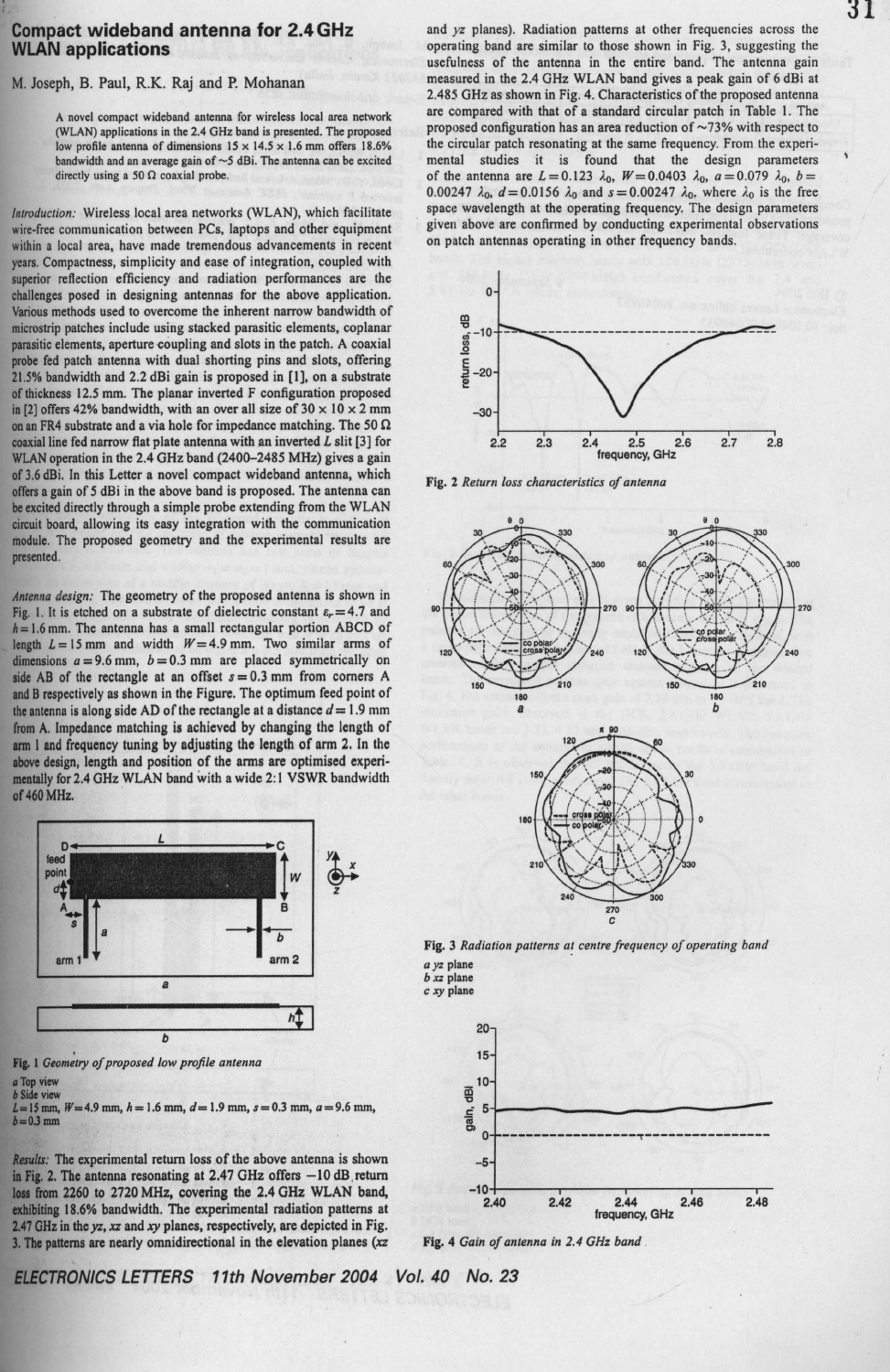## Compact wideband **antenna for 2.4GHz** WLAN applications

## M. Joseph, B. Paul, R.K. Raj and P. Mohanan

A novel compact wideband antenna for wireless local area network (WLAN) applications in the 2.4 GHz band **is presented**. The proposed low profile antenna of dimensions  $15 \times 14.5 \times 1.6$  mm offers 18.6% bandwidth and an average gain of ~5 dBi. The antenna can be excited directly using a 50  $\Omega$  coaxial probe.

*Introduction :* **Wireless local area networks** (WLAN), **which facilitate wire-free communication between PCs**, **laptops and other equipment within a local area, have made tremendous advancements in recent years**. **Compactness**, **simplicity and ease of integration** , **coupled with superior reflection efficiency and radiation performances are the challenges posed in designing antennas for the above application. Various methods used to overcome the inherent narrow bandwidth of microstrip patches include using stacked parasitic elements, coplanar parasitic elements**, **aperture coupling and slots in the patch** . **A coaxial probe fed patch antenna with dual shorting pins and slots** , **offering 21.5% bandwidth and 2** .**2 dBi gain is proposed in [I], on a substrate of thickness 12.5 mm** . **The planar inverted F configuration proposed in [2] offers 42% bandwidth**, **with an over all size of 30 x 10 x 2 mm on an FR4 substrate and a via hole for impedance matching**. **The 50 S2 coaxial line fed narrow flat plate antenna with an inverted L slit [3] for** WLAN **operation in the 2** .**4 GHz band** (**<sup>2400</sup>**-**2485 MHz**) **gives a gain of 3.6 dBi. In this Letter a novel compact wideband antenna, which offers a gain of 5 dBi in the above band is proposed** . **The antenna can be excited directly through a simple probe extending** from the WLAN **circuit board**, **allowing its easy integration with the communication module** . **The proposed geometry and the experimental results are presented.**

Antenna *design:* The geometry of the proposed **antenna is** shown in Fig. 1. It is etched on a substrate of dielectric constant  $\varepsilon_r = 4.7$  and  $h = 1.6$  mm. The antenna has a small rectangular portion ABCD of length  $L = 15$  mm and width  $W = 4.9$  mm. Two similar arms of dimensions  $a = 9.6$  mm,  $b = 0.3$  mm are placed symmetrically on side AB of the rectangle at an offset  $s = 0.3$  mm from corners A **and B respectively as shown** in the Figure. The optimum feed point of the antenna is along side AD of the rectangle at a distance  $d = 1.9$  mm from A**. Impedance matching is achieved** by changing **the length of arm I and frequency tuning by adjusting the length of arm 2. In the above design** , **length and position** of the **arms are optimised experi**mentally for 2.4 GHz WLAN band with a wide 2:1 VSWR bandwidth of 460 MHz.





**b Side view**

 $L=15$  mm,  $W=4.9$  mm,  $h=1.6$  mm,  $d=1.9$  mm,  $s=0.3$  mm,  $a=9.6$  mm,  $b=0.3$  mm

*Results:* The experimental return loss of the above antenna is shown in Fig. 2. The antenna resonating at 2.47 GHz offers -10 dB return loss from 2260 to 2720 MHz, covering the 2.4 GHz WLAN band, exhibiting 18.6% bandwidth. The experimental radiation patterns at 2.47 GHz in the yz, xz and xy planes, respectively, are depicted in Fig. 3. The **patterns are nearly omnidirectional in the elevation planes** *(xz* **Fig**. 4 Gain *of antenna* in *2.4 GHz band*

and yz planes). **Radiation patterns at other frequencies across the operating band are similar to those shown in Fig** . **3, suggesting the usefulness of the antenna in the entire band** . **The antenna gain measured in the 2** .4 GHz WLAN **band gives a peak gain of 6 dBi at** 2.485 **GHz as shown in Fig**. **4. Characteristics of the proposed antenna are compared with that of a standard circular patch** in Table 1. The proposed configuration has an area reduction of  $\sim$ 73% with respect to **the circular patch resonating at the same frequency** . **From the experimental studies it is found that the design parameters** of the antenna are  $L = 0.123 \lambda_0$ ,  $W = 0.0403 \lambda_0$ ,  $a = 0.079 \lambda_0$ ,  $b =$ 0.00247  $\lambda_0$ ,  $d = 0.0156$   $\lambda_0$  and  $s = 0.00247$   $\lambda_0$ , where  $\lambda_0$  is the free **space wavelength at the operating frequency**. **The design parameters given above are confirmed by conducting experimental observations on patch antennas operating in other frequency bands.**



**Fig. 2** Return loss *characteristics of antenna*



**Fig. 3** *Radiation patterns at centre frequency of operating band* a yz plane



**x**



ELECTRONICS LETTERS 11th November 2004 Vol. 40 No. 23